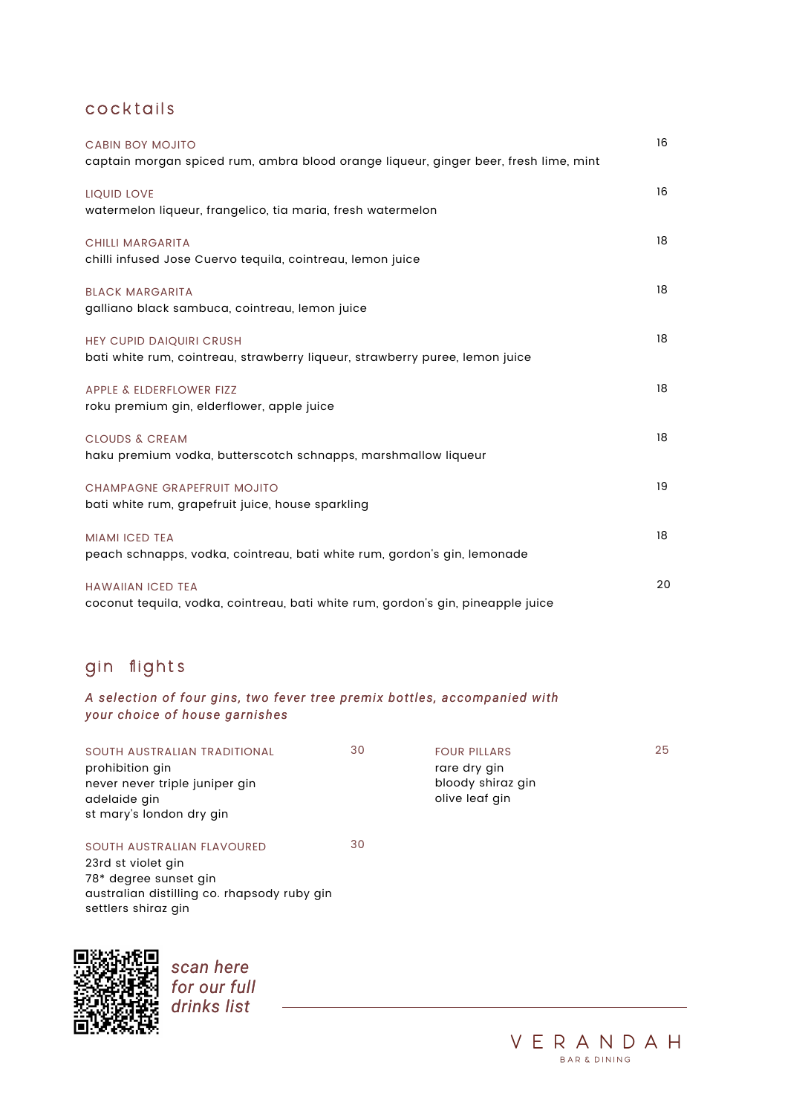# cocktails

| <b>CABIN BOY MOJITO</b>                                                              | 16 |
|--------------------------------------------------------------------------------------|----|
| captain morgan spiced rum, ambra blood orange liqueur, ginger beer, fresh lime, mint |    |
| LIQUID LOVE                                                                          | 16 |
| watermelon liqueur, frangelico, tia maria, fresh watermelon                          |    |
| <b>CHILLI MARGARITA</b>                                                              | 18 |
| chilli infused Jose Cuervo tequila, cointreau, lemon juice                           |    |
| <b>BLACK MARGARITA</b>                                                               | 18 |
| galliano black sambuca, cointreau, lemon juice                                       |    |
| HEY CUPID DAIQUIRI CRUSH                                                             | 18 |
| bati white rum, cointreau, strawberry liqueur, strawberry puree, lemon juice         |    |
| APPLE & ELDERFLOWER FIZZ                                                             | 18 |
| roku premium gin, elderflower, apple juice                                           |    |
| <b>CLOUDS &amp; CREAM</b>                                                            | 18 |
| haku premium vodka, butterscotch schnapps, marshmallow liqueur                       |    |
| CHAMPAGNE GRAPEFRUIT MOJITO                                                          | 19 |
| bati white rum, grapefruit juice, house sparkling                                    |    |
| <b>MIAMI ICED TEA</b>                                                                | 18 |
| peach schnapps, vodka, cointreau, bati white rum, gordon's gin, lemonade             |    |
|                                                                                      |    |

| <b>HAWAIIAN ICED TEA</b> |  |  |
|--------------------------|--|--|
|--------------------------|--|--|

coconut tequila, vodka, cointreau, bati white rum, gordon's gin, pineapple juice

# gin flights

20

*scan here for our full drinks list*



| SOUTH AUSTRALIAN TRADITIONAL<br>prohibition gin<br>never never triple juniper gin<br>adelaide gin<br>st mary's london dry gin | 30 | <b>FOUR PILLARS</b><br>rare dry gin<br>bloody shiraz gin<br>olive leaf gin | 25 |
|-------------------------------------------------------------------------------------------------------------------------------|----|----------------------------------------------------------------------------|----|
| SOUTH AUSTRALIAN FLAVOURED                                                                                                    | 30 |                                                                            |    |
| 23rd st violet gin                                                                                                            |    |                                                                            |    |
| 78* degree sunset gin                                                                                                         |    |                                                                            |    |
| australian distilling co. rhapsody ruby gin<br>settlers shiraz gin                                                            |    |                                                                            |    |



#### *A selection of four gins, two fever tree premix bottles, accompanied with your choice of house garnishes*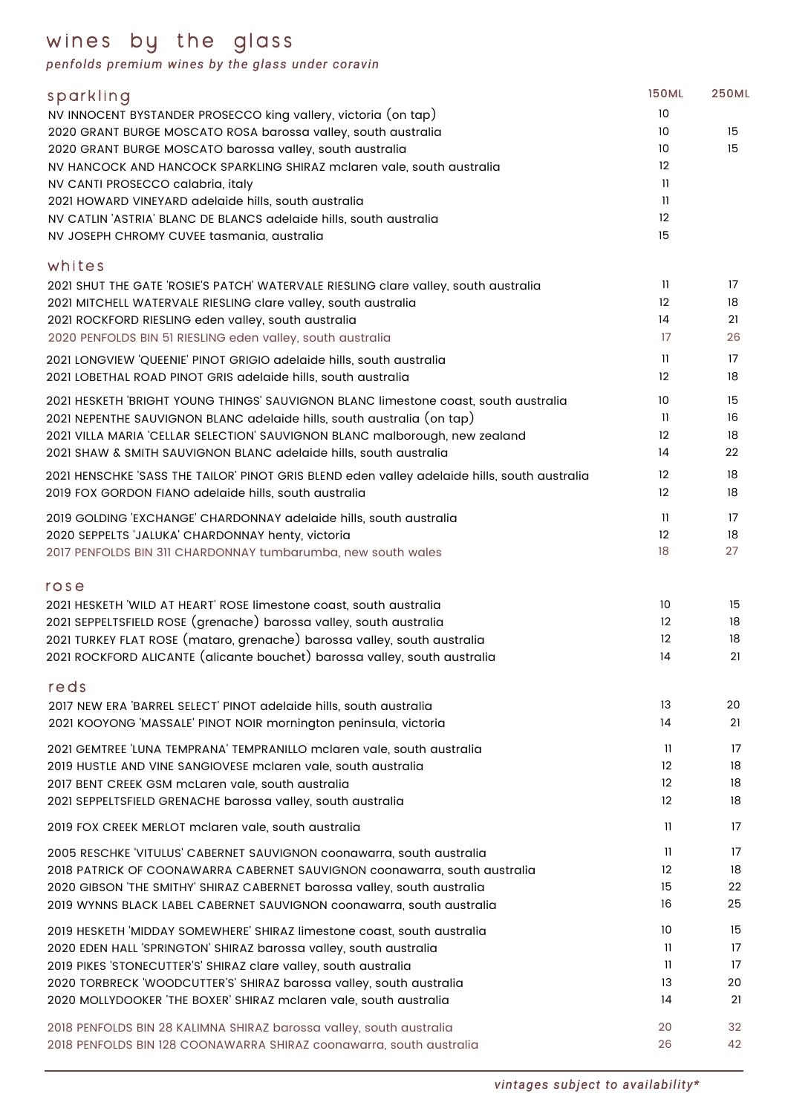# wines by the glass

*penfolds premium wines by the glass under coravin*

| 2021 HESKETH 'WILD AT HEART' ROSE limestone coast, south australia        | 10                      | 15 |
|---------------------------------------------------------------------------|-------------------------|----|
| 2021 SEPPELTSFIELD ROSE (grenache) barossa valley, south australia        | 12                      | 18 |
| 2021 TURKEY FLAT ROSE (mataro, grenache) barossa valley, south australia  | 12                      | 18 |
| 2021 ROCKFORD ALICANTE (alicante bouchet) barossa valley, south australia | 14                      | 21 |
| reds                                                                      |                         |    |
| 2017 NEW ERA BARREL SELECT PINOT adelaide hills, south australia          | 13                      | 20 |
| 2021 KOOYONG 'MASSALE' PINOT NOIR mornington peninsula, victoria          | 14                      | 21 |
| 2021 GEMTREE 'LUNA TEMPRANA' TEMPRANILLO mclaren vale, south australia    | $\mathbf{1}$            | 17 |
| 2019 HUSTLE AND VINE SANGIOVESE mclaren vale, south australia             | 12                      | 18 |
| 2017 BENT CREEK GSM mcLaren vale, south australia                         | 12                      | 18 |
| 2021 SEPPELTSFIELD GRENACHE barossa valley, south australia               | 12                      | 18 |
| 2019 FOX CREEK MERLOT mclaren vale, south australia                       | 11                      | 17 |
| 2005 RESCHKE 'VITULUS' CABERNET SAUVIGNON coonawarra, south australia     | $\mathbf{1}$            | 17 |
| 2018 PATRICK OF COONAWARRA CABERNET SAUVIGNON coonawarra, south australia | 12                      | 18 |
| 2020 GIBSON 'THE SMITHY' SHIRAZ CABERNET barossa valley, south australia  | 15                      | 22 |
| 2019 WYNNS BLACK LABEL CABERNET SAUVIGNON coonawarra, south australia     | 16                      | 25 |
| 2019 HESKETH 'MIDDAY SOMEWHERE' SHIRAZ limestone coast, south australia   | 10                      | 15 |
| 2020 EDEN HALL 'SPRINGTON' SHIRAZ barossa valley, south australia         | $\overline{\mathbf{1}}$ | 17 |
| 2019 PIKES 'STONECUTTER'S' SHIRAZ clare valley, south australia           | $\mathbf{1}$            | 17 |
| 2020 TORBRECK 'WOODCUTTER'S' SHIRAZ barossa valley, south australia       | 13                      | 20 |
| 2020 MOLLYDOOKER THE BOXER' SHIRAZ mclaren vale, south australia          | 4                       | 21 |
| 2018 PENFOLDS BIN 28 KALIMNA SHIRAZ barossa valley, south australia       | 20                      | 32 |
| 2018 PENFOLDS BIN 128 COONAWARRA SHIRAZ coonawarra, south australia       | 26                      | 42 |
|                                                                           |                         |    |

| sparkling                                                                                    | <b>150ML</b>      | <b>250ML</b> |
|----------------------------------------------------------------------------------------------|-------------------|--------------|
| NV INNOCENT BYSTANDER PROSECCO king vallery, victoria (on tap)                               | 10                |              |
| 2020 GRANT BURGE MOSCATO ROSA barossa valley, south australia                                | 10                | 15           |
| 2020 GRANT BURGE MOSCATO barossa valley, south australia                                     | 10 <sup>°</sup>   | 15           |
| NV HANCOCK AND HANCOCK SPARKLING SHIRAZ mclaren vale, south australia                        | 12                |              |
| NV CANTI PROSECCO calabria, italy                                                            | $\mathbf{1}$      |              |
| 2021 HOWARD VINEYARD adelaide hills, south australia                                         | 11                |              |
| NV CATLIN 'ASTRIA' BLANC DE BLANCS adelaide hills, south australia                           | 12                |              |
| NV JOSEPH CHROMY CUVEE tasmania, australia                                                   | 15                |              |
| whites                                                                                       |                   |              |
| 2021 SHUT THE GATE 'ROSIE'S PATCH' WATERVALE RIESLING clare valley, south australia          | 11                | 17           |
| 2021 MITCHELL WATERVALE RIESLING clare valley, south australia                               | 12                | 18           |
| 2021 ROCKFORD RIESLING eden valley, south australia                                          | 14                | 21           |
| 2020 PENFOLDS BIN 51 RIESLING eden valley, south australia                                   | 17                | 26           |
| 2021 LONGVIEW 'QUEENIE' PINOT GRIGIO adelaide hills, south australia                         | 11                | 17           |
| 2021 LOBETHAL ROAD PINOT GRIS adelaide hills, south australia                                | 12                | 18           |
| 2021 HESKETH 'BRIGHT YOUNG THINGS' SAUVIGNON BLANC limestone coast, south australia          | 10                | 15           |
| 2021 NEPENTHE SAUVIGNON BLANC adelaide hills, south australia (on tap)                       | $\mathbf{1}$      | 16           |
| 2021 VILLA MARIA 'CELLAR SELECTION' SAUVIGNON BLANC malborough, new zealand                  | 12                | 18           |
| 2021 SHAW & SMITH SAUVIGNON BLANC adelaide hills, south australia                            | 14                | 22           |
| 2021 HENSCHKE 'SASS THE TAILOR' PINOT GRIS BLEND eden valley adelaide hills, south australia | $12 \overline{ }$ | 18           |
| 2019 FOX GORDON FIANO adelaide hills, south australia                                        | $12 \overline{ }$ | 18           |
| 2019 GOLDING 'EXCHANGE' CHARDONNAY adelaide hills, south australia                           | $\mathbf{1}$      | 17           |
| 2020 SEPPELTS 'JALUKA' CHARDONNAY henty, victoria                                            | 12                | 18           |
| 2017 PENFOLDS BIN 311 CHARDONNAY tumbarumba, new south wales                                 | 18                | 27           |

*vintages subject to availability\**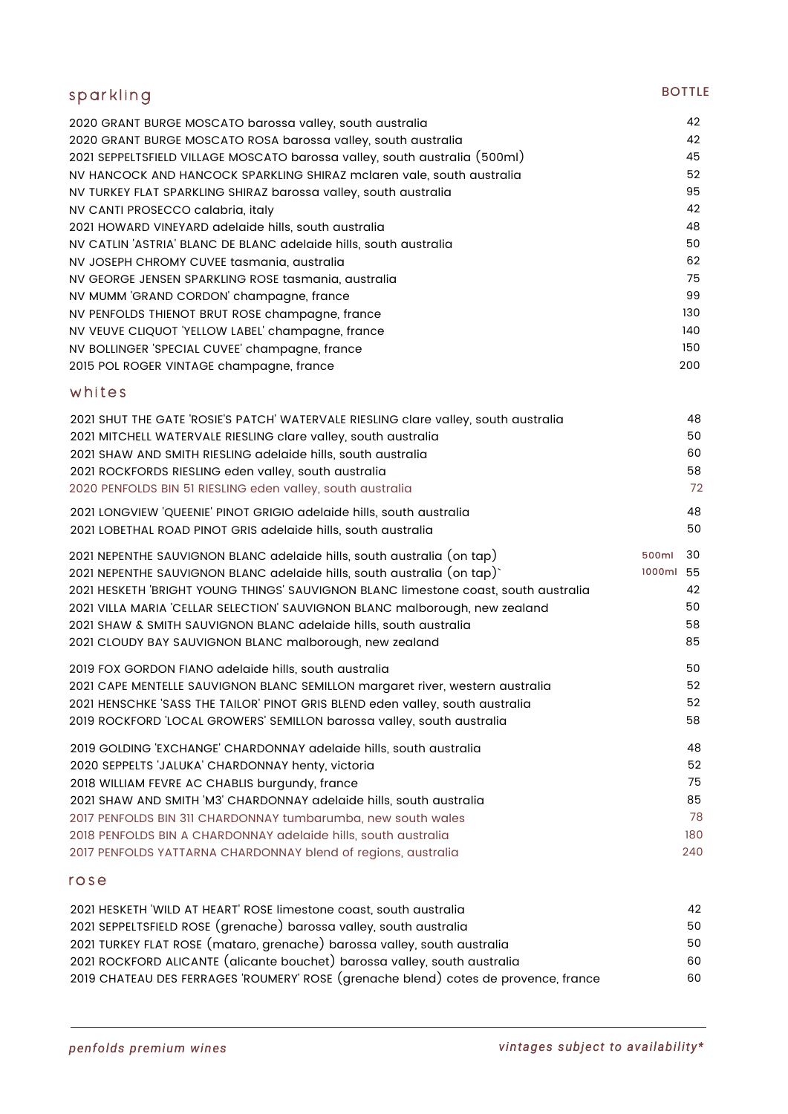| sparkling                                                                                                                                                                                               | <b>BOTTLE</b>  |
|---------------------------------------------------------------------------------------------------------------------------------------------------------------------------------------------------------|----------------|
| 2020 GRANT BURGE MOSCATO barossa valley, south australia<br>2020 GRANT BURGE MOSCATO ROSA barossa valley, south australia<br>2021 SEPPELTSFIELD VILLAGE MOSCATO barossa valley, south australia (500ml) | 42<br>42<br>45 |
| NV HANCOCK AND HANCOCK SPARKLING SHIRAZ mclaren vale, south australia                                                                                                                                   | 52             |
| NV TURKEY FLAT SPARKLING SHIRAZ barossa valley, south australia                                                                                                                                         | 95             |
| NV CANTI PROSECCO calabria, italy                                                                                                                                                                       | 42             |
| 2021 HOWARD VINEYARD adelaide hills, south australia                                                                                                                                                    | 48             |
| NV CATLIN 'ASTRIA' BLANC DE BLANC adelaide hills, south australia                                                                                                                                       | 50             |
| NV JOSEPH CHROMY CUVEE tasmania, australia                                                                                                                                                              | 62             |
| NV GEORGE JENSEN SPARKLING ROSE tasmania, australia                                                                                                                                                     | 75<br>99       |
| NV MUMM 'GRAND CORDON' champagne, france<br>NV PENFOLDS THIENOT BRUT ROSE champagne, france                                                                                                             | 130            |
| NV VEUVE CLIQUOT 'YELLOW LABEL' champagne, france                                                                                                                                                       | 140            |
| NV BOLLINGER 'SPECIAL CUVEE' champagne, france                                                                                                                                                          | 150            |
| 2015 POL ROGER VINTAGE champagne, france                                                                                                                                                                | 200            |
| whites                                                                                                                                                                                                  |                |
| 2021 SHUT THE GATE 'ROSIE'S PATCH' WATERVALE RIESLING clare valley, south australia                                                                                                                     | 48             |
| 2021 MITCHELL WATERVALE RIESLING clare valley, south australia                                                                                                                                          | 50             |
| 2021 SHAW AND SMITH RIESLING adelaide hills, south australia                                                                                                                                            | 60<br>58       |
| 2021 ROCKFORDS RIESLING eden valley, south australia<br>2020 PENFOLDS BIN 51 RIESLING eden valley, south australia                                                                                      | 72             |
| 2021 LONGVIEW 'QUEENIE' PINOT GRIGIO adelaide hills, south australia                                                                                                                                    | 48             |
| 2021 LOBETHAL ROAD PINOT GRIS adelaide hills, south australia                                                                                                                                           | 50             |
| 2021 NEPENTHE SAUVIGNON BLANC adelaide hills, south australia (on tap)                                                                                                                                  | 500ml 30       |
| 2021 NEPENTHE SAUVIGNON BLANC adelaide hills, south australia (on tap)                                                                                                                                  | 1000ml 55      |
| 2021 HESKETH 'BRIGHT YOUNG THINGS' SAUVIGNON BLANC limestone coast, south australia                                                                                                                     | 42             |
| 2021 VILLA MARIA 'CELLAR SELECTION' SAUVIGNON BLANC malborough, new zealand                                                                                                                             | 50             |
| 2021 SHAW & SMITH SAUVIGNON BLANC adelaide hills, south australia                                                                                                                                       | 58             |
| 2021 CLOUDY BAY SAUVIGNON BLANC malborough, new zealand                                                                                                                                                 | 85             |
| 2019 FOX GORDON FIANO adelaide hills, south australia                                                                                                                                                   | 50             |
| 2021 CAPE MENTELLE SAUVIGNON BLANC SEMILLON margaret river, western australia                                                                                                                           | 52             |
| 2021 HENSCHKE 'SASS THE TAILOR' PINOT GRIS BLEND eden valley, south australia                                                                                                                           | 52             |
| 2019 ROCKFORD 'LOCAL GROWERS' SEMILLON barossa valley, south australia                                                                                                                                  | 58             |
| 2019 GOLDING 'EXCHANGE' CHARDONNAY adelaide hills, south australia                                                                                                                                      | 48             |
| 2020 SEPPELTS 'JALUKA' CHARDONNAY henty, victoria                                                                                                                                                       | 52             |
| 2018 WILLIAM FEVRE AC CHABLIS burgundy, france                                                                                                                                                          | 75<br>85       |
| 2021 SHAW AND SMITH 'M3' CHARDONNAY adelaide hills, south australia<br>2017 PENFOLDS BIN 311 CHARDONNAY tumbarumba, new south wales                                                                     | 78             |
| 2018 PENFOLDS BIN A CHARDONNAY adelaide hills, south australia                                                                                                                                          | 180            |
| 2017 PENFOLDS YATTARNA CHARDONNAY blend of regions, australia                                                                                                                                           | 240            |
| rose                                                                                                                                                                                                    |                |
| 2021 HESKETH 'WILD AT HEART' ROSE limestone coast, south australia                                                                                                                                      | 42             |
| 2021 SEPPELTSFIELD ROSE (grenache) barossa valley, south australia                                                                                                                                      | 50             |
| 2021 TURKEY FLAT ROSE (mataro, grenache) barossa valley, south australia                                                                                                                                | 50             |

 ROCKFORD ALICANTE (alicante bouchet) barossa valley, south australia 60 CHATEAU DES FERRAGES 'ROUMERY' ROSE (grenache blend) cotes de provence, france 60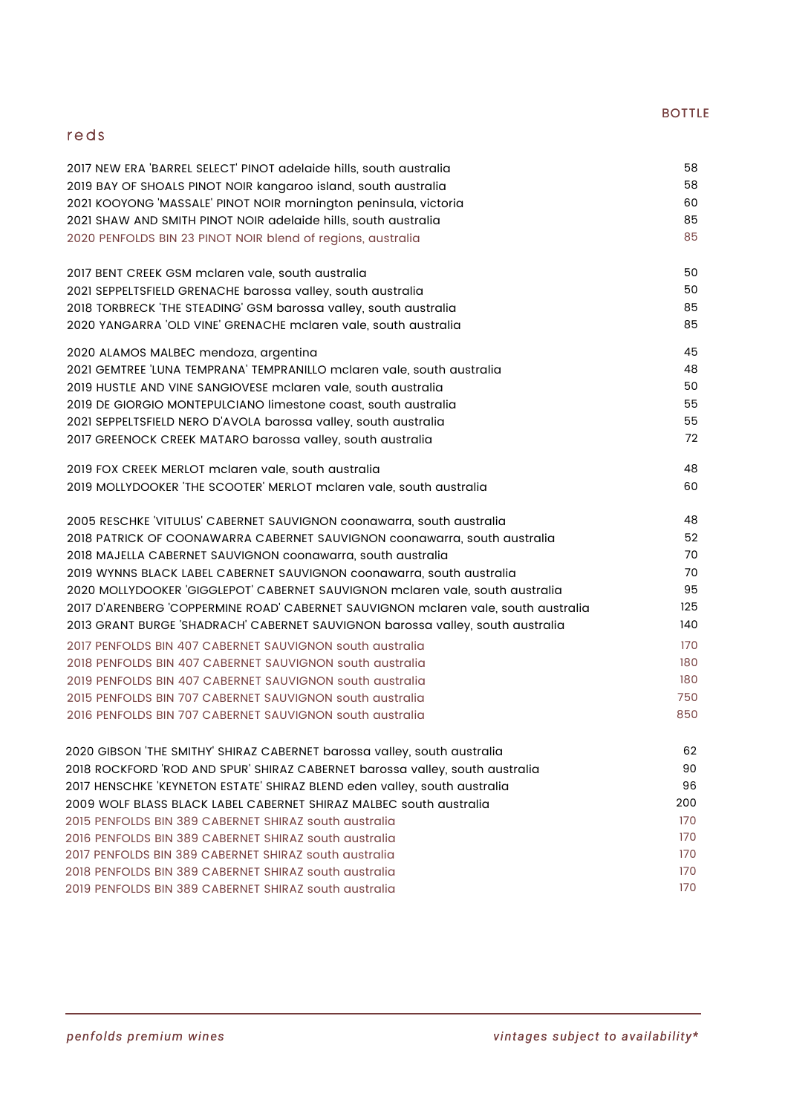#### BOTTLE

## reds

*vintages subject to availability\**

| 2017 NEW ERA BARREL SELECT PINOT adelaide hills, south australia              | 58 |
|-------------------------------------------------------------------------------|----|
| 2019 BAY OF SHOALS PINOT NOIR kangaroo island, south australia                | 58 |
| 2021 KOOYONG 'MASSALE' PINOT NOIR mornington peninsula, victoria              | 60 |
| 2021 SHAW AND SMITH PINOT NOIR adelaide hills, south australia                | 85 |
| 2020 PENFOLDS BIN 23 PINOT NOIR blend of regions, australia                   | 85 |
| 2017 BENT CREEK GSM mclaren vale, south australia                             | 50 |
| 2021 SEPPELTSFIELD GRENACHE barossa valley, south australia                   | 50 |
| 2018 TORBRECK 'THE STEADING' GSM barossa valley, south australia              | 85 |
| 2020 YANGARRA 'OLD VINE' GRENACHE mclaren vale, south australia               | 85 |
| 2020 ALAMOS MALBEC mendoza, argentina                                         | 45 |
| 2021 GEMTREE LUNA TEMPRANA' TEMPRANILLO mclaren vale, south australia         | 48 |
| 2019 HUSTLE AND VINE SANGIOVESE mclaren vale, south australia                 | 50 |
| 2019 DE GIORGIO MONTEPULCIANO limestone coast, south australia                | 55 |
| 2021 SEPPELTSFIELD NERO D'AVOLA barossa valley, south australia               | 55 |
| 2017 GREENOCK CREEK MATARO barossa valley, south australia                    | 72 |
| 2019 FOX CREEK MERLOT mclaren vale, south australia                           | 48 |
| 2019 MOLLYDOOKER THE SCOOTER' MERLOT mclaren vale, south australia            | 60 |
| 2005 RESCHKE 'VITULUS' CABERNET SAUVIGNON coonawarra, south australia         | 48 |
| 2018 PATRICK OF COONAWARRA CABERNET SAUVIGNON coonawarra, south australia     | 52 |
| 2018 MAJELLA CABERNET SAUVIGNON coonawarra, south australia                   | 70 |
| 2019 WYNNS BLACK LABEL CABERNET SAUVIGNON coonawarra, south australia         | 70 |
| 2020 MOLLYDOOKER 'GIGGLEPOT' CABERNET SAUVIGNON mclaren vale, south australia | 95 |

| 2017 D'ARENBERG 'COPPERMINE ROAD' CABERNET SAUVIGNON mclaren vale, south australia | 125 |
|------------------------------------------------------------------------------------|-----|
| 2013 GRANT BURGE 'SHADRACH' CABERNET SAUVIGNON barossa valley, south australia     | 140 |
| 2017 PENFOLDS BIN 407 CABERNET SAUVIGNON south australia                           | 170 |
| 2018 PENFOLDS BIN 407 CABERNET SAUVIGNON south australia                           | 180 |
| 2019 PENFOLDS BIN 407 CABERNET SAUVIGNON south australia                           | 180 |
| 2015 PENFOLDS BIN 707 CABERNET SAUVIGNON south australia                           | 750 |
| 2016 PENFOLDS BIN 707 CABERNET SAUVIGNON south australia                           | 850 |
| 2020 GIBSON THE SMITHY' SHIRAZ CABERNET barossa valley, south australia            | 62  |
| 2018 ROCKFORD 'ROD AND SPUR' SHIRAZ CABERNET barossa valley, south australia       | 90  |
| 2017 HENSCHKE 'KEYNETON ESTATE' SHIRAZ BLEND eden valley, south australia          | 96  |
| 2009 WOLF BLASS BLACK LABEL CABERNET SHIRAZ MALBEC south qustralia                 | 200 |
| 2015 PENFOLDS BIN 389 CABERNET SHIRAZ south qustralia                              | 170 |
| 2016 PENFOLDS BIN 389 CABERNET SHIRAZ south australia                              | 170 |
| 2017 PENFOLDS BIN 389 CABERNET SHIRAZ south australia                              | 170 |
| 2018 PENFOLDS BIN 389 CABERNET SHIRAZ south australia                              | 170 |
| 2019 PENFOLDS BIN 389 CABERNET SHIRAZ south australia                              | 170 |

*penfolds premium wines*